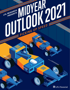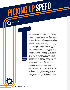# **PICKING UP SPEED**

**INTRODUCTION**

**HE U.S. ECONOMY** powered forward faster than nearly anyone had expected in the first half of 2021. As we were writing our *Outlook* for 2021 in late 2020, our economic views were significantly more optimistic than consensus forecasts—but in retrospect, not nearly optimistic enough. Our theme was getting back on the road again and powering forward. But as the economy accelerates to what may be its best year of growth in decades, power has been converted to speed and we're trading highways for raceways.

Speed can be exhilarating, but it can also be dangerous. Traffic becomes a test of nerves. Turning a sharp corner creates added stress on drivers. Tires wear, and engines can overheat. As we look ahead to the second half of 2021, and even into 2022, we see an economy still on the move before it slowly starts to settle back into historical norms. The speed is thrilling and the overall economic picture remains sound, likely supporting strong profit growth and potential stock market gains. But the pace of reopening also creates new hazards: Supply chains are stressed, some labor shortages have emerged, inflation is heating up—at least temporarily—and asset prices look expensive compared to historical figures.

Markets are always forward looking, and in *LPL Research's Midyear Outlook 2021: Picking Up Speed*, we help you keep your eyes on the road ahead. We focus on the next 6–12 months, when markets may be looking at which latecomers to the rally have the strength to extend their run, and whether there may be new beneficiaries of the global reopening. But smart investors are always looking even further ahead, beyond the next curve, next lap, or even next race. Sound financial advice remains the key to durability. So, buckle your seatbelt and tune up your portfolio. The next stretch may be a fast one with new risks to navigate, but it's still just another step toward meeting your long-term financial goals.

**MIDYEAR OUTLOOK 2021**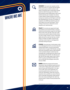# **WHERE WE ARE**



**ECONOMY:** The country has reopened, and the growth rate of the U.S. economy may have peaked in the second quarter of 2021, but there is still plenty of momentum left to extend above-average growth into 2022. We forecast 6.25–6.75% U.S. gross domestic product (GDP) growth in 2021, which would be the best year in decades. We continue to watch inflation closely but believe recent price pressures are transitory and will begin to work their way off gradually later in the year. On average, U.S. expansions since WWII have lasted five years and much longer over the last few decades. There's nothing on the horizon to indicate the current expansion can't reach that mark.

**POLICY:** The economy was supported through the pandemic by more than \$5 trillion in stimulus measures and extraordinary support by the Federal Reserve (Fed). Policy will take a back seat in 2021 as private sector growth replaces stimulus checks. Tax policy, though, remains a concern. Historically higher personal tax rates have had only a modest impact on markets, but higher corporate taxes would have a direct impact on earnings growth, potentially limiting stock gains.



**STOCKS:** The second year of a bull market is often more challenging than the first, but historically still usually produces gains. Economic improvement should continue to support S&P 500 Index earnings, which had a stunning first quarter. While valuations remain somewhat elevated, we think they look reasonable after considering still low interest rates and earnings growth potential. Our 2021 year-end S&P 500 fair-value target range of 4,400–4,450 is based on a price-to-earnings ratio (P/E) of 21.5 and our 2022 S&P 500 earnings per share (EPS) forecast of \$205.



**BONDS:** Inflationary pressure and economic improvement may put additional upward pressure on the 10-year Treasury yield, and we continue to see the 10-year yield finishing 2021 in the range of 1.75–2.00%. Such a move would leave core investment-grade bonds near flat over the rest of the year. Nevertheless, bonds still can play an important role in a portfolio as a source of income and as a diversifier during equity market declines. We are also closely watching the Fed, which may announce plans to reduce its bond purchases later in the year.

Please see last page for important disclosures.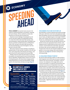**ECONOMY**

# **SPEEDING AHEAD**

**THE U.S. ECONOMY** has surprised nearly everyone to the upside as it speeds along thanks to vaccinations, reopening, and record stimulus. All have combined to produce what should be one of the best years for growth ever.

Despite the natural challenges of ramping back up, the recovery still seems capable of providing upside surprises. As a result of the strides made toward full reopening, rapid vaccine distribution, massive stimulus efforts, and support from the Fed, we maintain our 2021 forecast for U.S. GDP growth of 6.25%–6.75%. Last year's 3.5% drop in GDP, the worst year since the Great Depression, may not be forgotten—but it has been left in the dust of 2020.

With various measures of output matching or exceeding prepandemic levels, it's clear last year's recession is in the rear-view mirror, and it may go down as the shortest one in history—even shorter than the six-month recession from the early 1980s.

Globally, Europe and Japan have been slower to move past the pandemic, but explosive growth may be forthcoming once they do. Meanwhile, emerging markets continue to be a source of solid global growth, with several Asian emerging markets being among the first to recover from the pandemic, though growth in the United States will likely be stronger [Figure 1].

# **BIG JUMP IN U.S. GROWTH SINCE START OF 2021 1 2021 ECONOMIC FORECASTS**

|  | <b>REAL GDP GROWTH</b><br><b>FORECASTS (YoY%)</b> | 2020    | Projection*<br>2021 | <b>Current</b><br>2021 |
|--|---------------------------------------------------|---------|---------------------|------------------------|
|  | <b>United States</b>                              | $-3.5%$ | 3.9%                | $6.25 - 6.75$ %        |
|  | Developed ex-U.S.                                 | $-3.9%$ | 3.6%                | $3.75 - 4.25%$         |
|  | <b>Emerging Markets</b>                           | $-0.6%$ | 5.1%                | $5.5 - 6.0%$           |
|  | Global                                            | $-3.3%$ | 5.2%                | $5.5 - 6.0%$           |
|  |                                                   |         |                     | *As of 12/31/20        |

<sup>05</sup> Source: LPL Research, Dallas Federal Reserve, International Monetary Fund (IMF), Bloomberg 06/28/21

Economic forecasts may not develop as predicted and are subject to change.

# *THIS ECONOMIC CYCLE IS ONLY ON ITS FIRST LAP*

Since World War II, economic expansions have lasted an average of five years, with the four most recent cycles going even longer. Before the pandemic, the most recent expansion was the longest ever at 11 years, and might have gone on even longer if COVID-19 hadn't struck. However, this cycle may not continue on as long as the last one, considering this wasn't your average recession.

Because the recession last year was likely the shortest ever, and the economy was supported by historic stimulus, some imbalances weren't worked off like we tend to see in a normal recession. Corporate debt levels remain high, supported by low interest rates, and stock valuations never really reset. The good news is this new cycle of growth probably has enough going for it to be at least average, which would still give it another four years [Figure 2]. And there's nothing wrong with being average!

## *U.S. DOLLAR MAY STRUGGLE TO KEEP UP*

We came into 2021 expecting a weaker U.S. dollar and that is what's happened, but we think many more years of weakness could be in the cards. We view the "twin deficits" of the U.S. economy—the combination of the budget deficit and the current account deficit—as a long-term structural driver that continues to put pressure on the greenback versus major global alternatives. As a historical net importer, the U.S. has usually carried a trade deficit, while the flood of pandemic aid has stretched the budget deficit and ballooned the sum of the twin deficits to all-time highs, as a percent of GDP [Figure 3].

The Fed has been very clear with its dovish stance for a long time, which should be another tailwind to a lower-trending dollar. The dollar also has moved in cycles that last for years. It's currently in the midst of a lower cycle—having made major peaks in 1985, 2001, and 2017, with years of dollar weakness after the peaks—suggesting continued weaker dollar action could be ahead.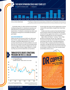# **2 THIS NEW EXPANSION COULD HAVE YEARS LEFT**



Source: LPL Research, National Bureau of Economic Research (NBER) 06/28/21

While NBER has not officially dated the end of the recession, and typically does not until approximately a year after the economy has troughed, on average, we are provisionally dating summer 2020 as the economic trough based on record retail sales, and expanding manufacturing and services data. Economic forecasts set forth my not deveop as predicted and are subject to change.

A potentially weaker U.S. dollar would have several benefits, including boosting profits for multinational corporations and enhancing returns on international investments for dollarbased investors. The flipside is a drastically lower dollar could be inflationary, driving prices of commodities and imported goods higher.

# *INFLATION RUNNING HOT*

Inflation has been the buzzword of 2021 so far. With record fiscal stimulus, supply chain bottlenecks, semiconductor shortages, a potentially tightening labor force, and an economy nearly fully open, the threat of inflation is very real. Given the core Consumer Price Index (CPI) (excluding volatile food and energy) in May soared to its highest year-over-year change since 1992, the threat of higher inflation is no doubt real. Many worry the Fed is behind the curve and will be

**3**





Source: LPL Research, Bloomberg 06/28/21 Current Account + Budget Deficit as of 3/31/21 All indexes are unmanaged and cannot be invested into directly. Past performance is no guarantee of future results. forced to hike rates sooner and more aggressively to prevent runaway 1970s-style inflation, though we don't share these worries.

It makes sense that we would see historically high inflation over the summer months for the simple fact that a year ago at this time CPI was negative three months in a row during the shutdowns, elevating the year-over-year comparisons.

Higher inflation will likely be "transitory" before things get back to normal later this year. Don't forget that structural forces that kept a lid on inflation for much of the past decade are still in place. Technology, globalization, the Amazon effect, increased productivity and efficiency, automation, and high debt (which puts downward pressure on inflation) are among the major structural forces that have put the brakes on inflation for more than a decade already and will likely continue to do so.



It is said that copper has a Ph.D. in economics because of its ability to predict turning points in the overall global economy. Copper is used in everything from homes, to cars, to power generation, to even jewelry. If the global economy is strong, copper will also be strong.

Copper recently broke out to new all-time highs, after trading in the same trading range for nearly 15 years. Copper also broke out to new highs in the mid-2000s after trading in the same range for nearly 15 years. It went on to gain more than 150% in less than two years. Should copper do anything like that again this time, it will likely be another sign of a healthy global economy.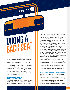

**POLICY**

 $\odot$ 

**DURING MUCH OF 2020** and early 2021, markets have been focused on fiscal policy due to massive government efforts to help the economy speed past the impact of COVID-19 restrictions. Policy still matters, but it will matter far less to markets over the rest of 2021, despite some important debates going on in Washington. Markets may anticipate an increase in government spending if Congress passes some version of the Biden administration's Build Back Better initiative, but it will likely be spread out over almost a decade. The biggest risk may be around taxes, with businesses and wealthy households both facing the prospect of a higher tax burden to pay for the plan and help manage the deficit.

# *FEDERAL SPENDING UNLIKELY TO CHANGE MARKET TRAJECTORY*

Much of the approximately \$5 trillion in direct COVID-related stimulus in 2020 and 2021 did not flow through directly as government spending. Instead, the federal government

used its borrowing power to distribute funds to households and businesses. That impact will fade over the remainder of the year, but will be replaced by the private economy accelerating, which is where we would want it to be.

Actual government spending may continue to grow, but the direct payments will likely end and the rate of growth will not make a large difference to overall output. According to the Bureau of Economic Analysis, federal spending added an average of about 0.15% per year to GDP growth between 2000 and 2020, with defense and non-defense each contributing about half of that amount. Federal spending has not contributed more than 0.5% to GDP growth since 1986, and even in 2020 only contributed 0.29%. Stimulus was more about borrowing than government spending.

But even a small contribution to GDP growth can be massive in absolute terms. With proposals for the two pieces of the Build Back Better plan at nearly \$4 trillion—\$1.8 trillion for the American Families Plan and over \$2 trillion for the infrastructure bill (known as the American Jobs Plan)—higher taxes would be needed to help finance the new spending. Let's be clear, with a 50/50 Senate (Vice President Kamala Harris breaks ties) and the historically slim Democratic majority in the House, we think these final numbers will likely come in at \$2–2.5 trillion combined, as these initial numbers from the Democrats are starting points for negotiations.

## *TAXES MAY CHANGE MARKET PATH, BUT NOT DIRECTION*

Federal spending is generally funded by taxes or debt, and the Biden administration plans to raise taxes to help pay for the Build Back Better initiative. President Biden has proposed increasing taxes on both corporations and wealthier households, including an increase in the capital gains tax (the tax on investment profits). Markets so far have taken the proposed changes in stride, due to expectations that the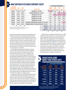# **4 WHAT HAPPENS AFTER HIGHER CORPORATE TAXES?**

|                                                                                                                                                                             |                                                                                                |       |                                                  | <b>S&amp;P 500 INDEX PERFORMANCE</b>           |                                              |                                            |                                    |          |
|-----------------------------------------------------------------------------------------------------------------------------------------------------------------------------|------------------------------------------------------------------------------------------------|-------|--------------------------------------------------|------------------------------------------------|----------------------------------------------|--------------------------------------------|------------------------------------|----------|
| <b>CORPORATE</b><br><b>TAX INCREASE</b>                                                                                                                                     | <b>DATE OF</b><br><b>OLD</b><br><b>NEW</b><br><b>RATE</b><br><b>RATE</b><br><b>LEGISLATION</b> |       |                                                  | <b>THREE</b><br><b>MONTHS</b><br><b>BEFORE</b> | <b>NEXT</b><br><b>THREE</b><br><b>MONTHS</b> | <b>NEXT</b><br><b>SIX</b><br><b>MONTHS</b> | <b>NEXT</b><br>12<br><b>MONTHS</b> |          |
| 6/25/40                                                                                                                                                                     | 19.0%                                                                                          | 22.1% | <b>REVENUE ACT OF 1940</b>                       |                                                | $-19.4%$                                     | 10.7%                                      | 5.9%                               | $1.3\%$  |
| 10/8/40                                                                                                                                                                     | 22.1%                                                                                          | 24.0% | <b>SECOND REVENUE ACT OF 1940</b>                |                                                | 5.7%                                         | 3.0%                                       | $-8.1%$                            | $-6.6%$  |
| 9/20/41                                                                                                                                                                     | 24.0%                                                                                          | 31.0% | <b>REVENUE ACT OF 1941</b>                       |                                                | 3.3%                                         | $-18.4%$                                   | $-21.7%$                           | $-14.9%$ |
| 10/21/42                                                                                                                                                                    | 31.0%                                                                                          | 40.0% | <b>REVENUE ACT OF 1942</b>                       |                                                | 8.2%                                         | 8.9%                                       | 21.4%                              | 26.0%    |
| 9/23/50                                                                                                                                                                     | 38.0%                                                                                          | 42.0% | <b>REVENUE ACT OF 1950</b>                       |                                                | 7.2%                                         | 4.5%                                       | 10.6%                              | 19.8%    |
| 10/31/51                                                                                                                                                                    | 42.0%                                                                                          | 51.0% | <b>REVENUE ACT OF 1951</b>                       |                                                | $1.9\%$                                      | 5.1%                                       | 3.2%                               | 7.5%     |
| 6/28/68                                                                                                                                                                     | 48.0%                                                                                          | 52.8% | REVENUE & EXPENDITURE CONTROL ACT OF 1968        |                                                | 10.4%                                        | 2.7%                                       | 5.2%                               | $-1.5%$  |
| 8/10/93                                                                                                                                                                     | 34.0%                                                                                          | 35.0% | <b>OMNIBUS BUDGET RECONCILIATION ACT OF 1993</b> |                                                | 1.1%                                         | 2.4%                                       | 5.0%                               | 1.9%     |
|                                                                                                                                                                             |                                                                                                |       |                                                  | <b>AVERAGE</b>                                 | 2.3%                                         | 2.4%                                       | 2.7%                               | 4.2%     |
| Source: LPL Research, Strategas, FactSet 06/28/21<br>All indexes are unmanaged and cannot be invested into directly.<br>Past performance is no guarantee of future results. |                                                                                                |       |                                                  | <b>MEDIAN</b>                                  | 4.5%                                         | 3.8%                                       | 5.1%                               | 1.6%     |
|                                                                                                                                                                             |                                                                                                |       |                                                  | % POSITIVE                                     | 87.5%                                        | 87.5%                                      | 75.0%                              | 62.5%    |

proposed tax increases will be reduced during negotiations and that the economy will be strong enough to absorb the impact.

The Tax Cut and Jobs Act (TCJA), signed into law by former President Trump in December 2017, reduced the top tax rate on corporations from 35%, where it had been since 1993, to 21%. The top U.S. statutory corporate tax rate had not been under 30% since the 1940s prior to the TCJA. There were also other structural reforms included, such as changes to the way U.S. corporate profits from abroad are taxed in an attempt to make U.S. companies more competitive.

President Biden has proposed increasing the corporate tax rate to 28%, but that should be viewed as a bargaining position and we believe the more likely outcome is that we see the rate end up closer to 25%. The negative news for markets is that corporate earnings growth will take an approximately proportional direct hit. Since the stock market is fundamentally driven by earnings, the tax impact will likely be a headwind for equity markets. On the positive side, this move has been anticipated for quite some time and should not be much of a surprise to markets. Further, excluding the rate introduced by the TCJA, this will still be the lowest tax rate in about 70 years. Historically, markets have absorbed higher corporate tax rates, although with below-average returns [Figure 4]. While we don't think higher rates would be retroactive, they could take away some of the momentum from recent upside surprises in earnings growth that we've seen so far in 2021 and contribute to a choppier market.

Proposed tax provisions to raise funds for Build Back Better on the household side include increasing the top tax rate on ordinary income to 39.6% from 37%, and capital gains and taxes on those who earn more than \$1 million to a maximum of 43.4% from the current 23.8%. Fun statistic: Only 0.32% of the population makes more than \$1 million a year, so the truth is this won't impact the other 99.68% of the population.

Looking at history, capital gains taxes did increase in 1986 and 2013, but the economy was on a firm footing, compared with the 1970s hikes, which saw an economy marred by higher inflation and sluggish growth. Not surprisingly, the two more recent hikes saw solid stock market performance, while the 1970s hikes didn't [Figure 5]. Is it as simple as how the economy is doing? Policy matters, but broader economic trends matter more. If we see a capital gains tax increase, we do expect some investors may rotate out of equities and seek more tax-friendly opportunities—but at the cost of accelerating capital gains. Long-term investors may simply wait out the new rate, on expectations that it may be changed again by a subsequent administration.

# **HIGHER CAPITAL GAINS HAVEN'T HURT STOCKS LATELY 5**

|                                                           | <b>S&amp;P 500 INDEX PERFORMANCE</b>           |                                              |                                               |  |  |
|-----------------------------------------------------------|------------------------------------------------|----------------------------------------------|-----------------------------------------------|--|--|
|                                                           |                                                |                                              |                                               |  |  |
| <b>DATE OF</b><br><b>CAPITAL GAINS</b><br><b>INCREASE</b> | <b>THREE</b><br><b>MONTHS</b><br><b>BEFORE</b> | <b>NEXT</b><br><b>THREE</b><br><b>MONTHS</b> | <b>NEXT</b><br><b>TWELVE</b><br><b>MONTHS</b> |  |  |
| 12/30/69                                                  | $-1.6%$                                        | $-1.7%$                                      | $-0.6%$                                       |  |  |
| 10/4/76                                                   | 0.5%                                           | 1.6%                                         | $-7.7%$                                       |  |  |
| 10/22/86                                                  | $-0.7%$                                        | <b>15.9%</b>                                 | 9.4%                                          |  |  |
| 1/1/13                                                    | 1.5%                                           | 6.7%                                         | 25.3%                                         |  |  |
| <b>AVERAGE</b>                                            | $-0.1%$                                        | 5.6%                                         | 6.6%                                          |  |  |
| <b>MEDIAN</b>                                             | $-0.1%$                                        | 4.1%                                         | 4.4%                                          |  |  |
| % POSITIVE                                                | 50.0%                                          | 75.0%                                        | 50.0%                                         |  |  |

Source: LPL Research, Ned Davis Research, FactSet 06/28/21 All indexes are unmanaged and cannot be invested into directly. Past performance is no guarantee of future results.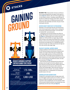**STOCKS**

# **GAINING GROUN**

# **HIGHER EARNINGS SUPPORT FURTHER GAINS FOR STOCKS 6 2021 U.S. MARKET FORECASTS**

| 10-Year U.S.<br><b>Treasury Yield</b>           | $1.75$ - $2.00$ % |  |  |
|-------------------------------------------------|-------------------|--|--|
| <b>S&amp;P 500</b><br><b>Earnings per Share</b> | <b>s195</b>       |  |  |
| <b>S&amp;P 500</b><br><b>Fair Value</b>         | 4,400-4,450       |  |  |

Source: LPL Research 06/28/21

All indexes are unmanaged and cannot be invested into directly. Economic forecasts may not develop as predicted. Our year-end 2021 fair-value target range for the S&P 500 Index of 4,400-4,450 is based on a price-to-earnings (PE) ratio of 21.5 and our 2022 S&P 500 earnings per share (EPS) forecast of \$205.

**WE EXPECT THE** strong economic recovery to continue to drive strong earnings growth and support further gains for stocks [Figure 6]. However, after one of the strongest starts to a bull market in history—including a nearly 90% gain off the March 23, 2020 lows through June 28, 2021—stock prices reflect a lot of good news. As inflationary pressures build and interest rates potentially rise further, the pace of stock market gains may slow.

## *HISTORY DOESN'T REPEAT BUT IT OFTEN RHYMES*

Although no one would argue that this cycle looks like any other we have experienced in modern history, studying the second years of historical bull markets—as we also did in our *Outlook 2021*—can be instructive.

Looking back at all of the bull markets since 1950, the average S&P 500 gain during the second year has been about 13% [Figure 7]. Achieving that return would put the index slightly over 4,400 and within our target range. However, when focusing on bull markets that followed 30% or greater declines, as the current one did, the average gain during the second year has actually been 17%. Following that pattern would put the index near 4,600 and well above the high end of our year-end fair value target range.

# *VOLATILITY (CAUTION—SLIPPERY AHEAD)*

Looking at pullbacks (5-10% decline) and corrections (10-20% decline) during the second years of historical bull markets, we can get an idea of the type of volatility the stock market might experience in the second half of 2021 or early in 2022. The average maximum drawdown for the index during those two-year-old bull markets has been about 10%. In the second year of the 2009 bull market, the index corrected about 17% [Figure 7].

Given the jolts from the reopening and the stimulus still working its way through the economy, pullbacks may be short lived and corrections less severe. Inflation that proves longer lasting than the Fed expects, which could drive interest rates sharply higher, ranks at the top of the list of potential causes of a correction. Tax increases, COVID-19 spread outside the U.S., and geopolitics are among other possible bumps in the road.

## *EARNINGS OUTLOOK GATHERS STEAM*

Coming off of a stunning first-quarter earnings season with one of the biggest upside surprises ever recorded, corporate America is firing on all cylinders. Not only are earnings expected to ramp up significantly over the remainder of 2021 as the economic rebound continues, but estimates have risen significantly since the start of the year [Figure 8].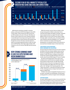# **<sup>7</sup> SECOND YEAR OF BULL MARKETS TYPICALLY SEE MODERATING GAINS AND SHALLOW CORRECTIONS**



Reflecting the tremendous strength in corporate profits, our forecast for S&P 500 earnings per share (EPS) in 2021 is \$195, a 36% increase from 2020, and up from our \$165 estimate at the start of the year. We believe our forecast, which is above the current consensus estimate, is reasonable given the strong economic growth outlook and massive amount of fiscal stimulus still working its way through the economy. We expect corporate America to build on its strong earnings performance in 2022. Our 2021 year-end S&P 500 fair-value target range of 4,400–4,450 is based on a PE of 21.5 and our 2022 S&P 500 EPS forecast of \$205.

# **VERY STRONG EARNINGS RAMP IS LIKELY AS EXPECTATIONS HAVE RISEN DRAMATICALLY**

CONSENSUS S&P 500 PER SHARE (EPS) ESTIMATES:

AS OF DECEMBER 31, 2020



FactSet 06/28/21

**8**

develop as predicted.

While the economic recovery looks very likely to drive strong revenue growth, inflation could present risk to corporate profit margins and weigh on earnings. Companies may see upward pressure on wages if the labor market tightens further as more of the economy reopens. Supply shortages, higher commodity prices, and rising borrowing costs could also erode the profitability of U.S. companies. And U.S. businesses are closely monitoring policy developments, as a potential increase in the corporate tax rate would have immediate impact on their bottom lines.

# *LOW INTEREST RATES PROVIDING SHOCK ABSORBER FOR VALUATIONS*

Strong earnings have helped stocks grow into their valuations but based on the most common valuation metrics such as the price-to-earnings ratio (P/E), stock valuations remain elevated. The S&P 500 Index is trading at a forward P/E of 21 times the consensus earnings estimate for the next 12 months, above the post-1980 average of 17 (source: FactSet).

But when incorporating interest rates to get a more complete picture, we find stocks are actually reasonably priced. Based on 2021 forecasts, the S&P 500 earnings yield (the inverse of the price-to-earnings ratio) is about three percentage points higher than the 10-year Treasury yield, or the "earnings" that Treasuries generate. This "equity risk premium" is well above the long-term average of 0.8%, indicating stocks are cheaper than bonds on an apples-to-apples basis.

If inflation risk remains manageable through year-end, as we expect, and yields rise only gradually, we would expect earnings growth to continue to support stock market gains.

# *THE ROAD AHEAD*

We expect additional gains for stocks in the second half of the year, but they are likely to come at a slower place and with more bumps along the way as inflation picks up and concerns about the Fed pulling back monetary support intensify.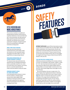**STOCKS**

 $\odot$ 

# **BONDS**

# **STYLE ROTATION HAS**

**MORE HORSEPOWER**

The economy's transition to a durable and lasting expansion positions cyclical stocks to outperform defensives in the second half of the year. In this environment, the value style will likely outperform growth and the financials, industrials, and materials sectors may be positioned for solid gains, though the growth style won't go quietly given technology's tremendous earnings power.

# *SMALL CAPS TO SET THE PACE*

Small cap stocks historically have outperformed early in bull markets. Small cap valuations are still reasonable despite strong gains since March 2020, in our view, supported by a strong earnings rebound.

# *DEVELOPED INTERNATIONAL NO LONGER SPINNING ITS WHEELS*

The improved value-style performance has opened the door for developed international stocks to potentially outperform U.S. stocks for the first time in over a decade. The recovery the U.S. is currently experiencing from COVID-19 still lies ahead for Europe and Japan.

# *EMERGING MARKETS COULD HIT SOME SPEED BUMPS*

As the developed world continues to recover from the pandemic, emerging markets may lose some relative appeal. While valuations are attractive and the U.S. dollar may weaken, geopolitical and regulatory threats may limit gains for the China-heavy emerging markets index.

# **SAFETY**<br>FEATURES

**INTEREST RATES HAVE** moved off their historically low levels to start the year, but we believe they can still go higher. Higher inflation expectations, the strong economic recovery, less involvement in the bond market from the Fed (more on this below), and a record amount of Treasury issuance this year are all reasons why we believe interest rates can move higher. Our target for the 10-year Treasury Yield at the end of 2021 is between 1.75% and 2.0%.

# *THE CASE FOR (STILL) HIGHER YIELDS*

Inflationary pressures are building as the economy continues to recover. As a bondholder's main nemesis—inflation—erodes the "real" value of principal and interest payments, making them worth less. While we don't believe inflation will be a lasting problem, we do expect higher consumer prices in the near term, which should nudge interest rates higher over the rest of this year.

We are also keeping a close eye on copper prices. The ratio of copper prices to gold prices has been an important predictor of where the yield of the 10-year Treasury could be [Figure 9]. Copper is an important input price for a number of products, so as copper prices increased due to the strengthening of the global economy, 10-year Treasury yields haven't quite kept up. While not a perfect predictor, the copper/gold ratio has been a reliable one and suggests interest rates can still move higher from current levels.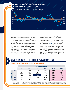# **<sup>9</sup> HIGH COPPER TO GOLD PRICES IMPLY 10-YEAR TREASURY YIELDS COULD BE HIGHER**



### *STALLING OUT*

Rising Treasury yields have been a headwind to core fixed income returns this year, with the first quarter going down as one of the worst quarters ever for bond returns. Generally speaking, the yield spread between Treasury securities and non-Treasury bond securities can help cushion losses when interest rates move higher (and bond prices fall). However, with valuations within most fixed income sectors already at lofty levels, there hasn't been enough spread to offset rising Treasury yields. This has caused the prices of many bond sectors to fall as interest rates have moved higher. Unfortunately, we expect the trend of higher interest rates to continue, albeit at a much slower pace than what

we've experienced so far this year, putting further downward pressure on core fixed income returns.

Expected returns for core fixed income (as defined by the Bloomberg Barclays U.S. Aggregate Bond Index) through the remainder of the year are low to even negative in certain scenarios [Figure 10]. Because we believe interest rates will move higher from current levels, core fixed income returns may add more negative returns to the already negative year-to-date returns. If core fixed income returns are negative for the year, it will be the first time since 2013, which was a great year for stocks, but was also the last time the Fed started talking about tapering its bond buying programs. History may be rhyming again.



**OUTLOOK <sup>2021</sup>**

# **EXPECT SUBPAR RETURNS FOR CORE FIXED INCOME THROUGH YEAR-END**

### **BLOOMBERG BARCLAYS U.S. AGGREGATE TOTAL RETURN INDEX RETURN ILLUSTRATION**

|                                 |        | <b>INTEREST RATE CHANGES</b> |        |       |        |          |          |
|---------------------------------|--------|------------------------------|--------|-------|--------|----------|----------|
|                                 |        | $-20%$                       | $-10%$ | $0\%$ | $+10%$ | $+20%$   | $+30%$   |
| <b>CHANGES</b><br><b>SPREAD</b> | $-20%$ | 2.97%                        | 2.28%  | 1.52% | 0.75%  | $-0.09%$ | $-1.02%$ |
|                                 | $-10%$ | 2.80%                        | 2.12%  | 1.35% | 0.58%  | $-0.26%$ | $-1.18%$ |
|                                 | $0\%$  | 2.62%                        | 1.93%  | 0.98% | 0.40%  | $-0.44%$ | $-1.37%$ |
|                                 | $+10%$ | 2.43%                        | 1.74%  | 0.98% | 0.21%  | $-0.63%$ | $-1.56%$ |
|                                 | $+20%$ | 2.23%                        | 1.54%  | 0.77% | 0.01%  | $-0.83%$ | $-1.76%$ |

Source: LPL Research, Bloomberg, 06/28/21

All indexes are unmanaged and cannot be invested into directly. Past performance is no guarantee of future results. This is a hypothetical illustration and is not representative of any investment. The hypothetical rates of return used do not reflect the deduction of fees and charges inherent to investing.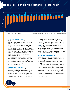# **11 TREASURY SECURITIES HAVE BEEN MOSTLY POSITIVE WHEN EQUITIES WERE NEGATIVE**

MONTHLY S&P 500 AND TREASURIES PERFORMANCE WHEN STOCKS DOWN >3% BSAP 500 INDEX BLOOMBERG BARCLAYS TREASURY INDEX



10%

Source: LPL Research, Bloomberg 06/28/21. <br>All indexes are unmanaged and cannot be invested into directly. Past performance is no guarantee of future results.

#### *FIXED INCOME THROUGH YEAR-END*

We still recommend investors reduce the interest-rate sensitivity in their portfolios. Mortgage-backed securities (MBS) do not offer the upside of corporate bonds, but they can be more resilient in a rising-rate environment. Investment-grade corporates tend to be more rate-sensitive than MBS, and their credit sensitivity may make them more vulnerable than MBS if stocks pull back, but we still think the short-to-intermediate part of the corporate credit universe makes sense. Remember, longer-term bonds are more impacted by higher rates, which is why we recommend an underweight to Treasuries.

For suitable income-oriented investors, adding more credit-sensitive sectors, such as bank loans and emerging market debt, to their portfolios may help compensate for the reduced income potential of a low-rate environment, but we would still recommend that high-quality bonds make up the bulk of any bond allocation.

## *USE BONDS AS YOUR SAFETY BELT*

So, if we're expecting higher Treasury yields and low-tonegative returns for core fixed income, why would anyone want to own bonds? Frankly, in case something bad happens to cause equity markets to sell off. Simply put, bonds help you stay in stocks and make progress toward your long-term goal. Core bonds, and more specifically Treasury securities,

continue to be the best diversifier during equity market declines. As we look at how Treasury securities have performed during periods when the S&P 500 Index was down 3% or more, we see that Treasury security returns have been mostly positive [Figure 11]. When you consider stocks are in the second year of a bull market and that, historically, has brought increased volatility, core fixed income can help dampen and potentially offset some of those losses. While we still like stocks over bonds over the course of the year, we do think high-quality fixed income continues to serve a purpose in portfolios.

# *ALL EYES ON THE FED'S ROAD AHEAD*

When we evaluate the economic and financial landscapes, the Fed is a key risk we're keeping our eyes on. Since March 2020, the Fed has supported the economy and financial markets by purchasing \$80 billion in Treasuries and \$40 billion in mortgage securities, and keeping short-term interest rates near zero. As the economy continues to recover, however, the need for continued monetary support wanes. While we still think it's too early for the Fed to begin to increase short-term interest rates, we do think the discussion around reducing the size and scope of bond purchases (also known as tapering) will start to take place soon. How the market will react to these discussions is unclear at this point and there is the risk that a communication error by the Fed could cause interest rates to move higher.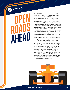**THE FINISH LINE**

 $\bigcirc$ 

# **OPEN ROADS AHEAD**

**WE'VE BEEN SEEING** it around us for months now. The U.S. economy is well on its way to fully reopening and much of the rest of the globe isn't that far behind. We're also experiencing the transition to normalcy, the burst of pent-up demand for everything that's been on hold, including just ordinary, everyday life outside the pandemic. In its own way, that transition itself feels like it's moving fast. And if you're looking to go fast and want to navigate the challenges that come with speed, it's always smart to bring a crew. To keep you fueled. To calm your nerves when you hit some traffic. To help plan your strategy and potentially change course. And to share your successes at the finish line.

In 2020, a year in which planning anything seemed impossible, having a financial plan and sticking to it was more valuable than ever. But that plan didn't suddenly just appear. The time to make a plan isn't when navigating a tricky environment. We build our plans when times are easier so that we can stick with them when times are hard, or just enjoy the benefits when times are good.

Looking out over the rest of 2021, it seems like the worst of the hard times are behind us. Now we're going full-speed ahead, and we all want to take some time to enjoy the thrill after a long period of caution. But these are also the times when planning is most effective—early in the economic cycle, with the next recession potentially years away, a strong start to a bull market in full gear, and a relatively calm market environment. Right now, in fact, is the ideal time to consult your financial professional on your financial goals, the most effective way to reach them, and how to be prepared for market volatility down the road. *LPL Research's Midyear Outlook 2021: Picking Up Speed* is here to help you navigate the risks and opportunities over the rest of 2021 and beyond, but your crew remains the key to progressing toward your long-term goal.

**MIDYEAR OUTLOOK 2021 12**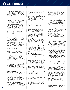# **GENERAL DISCLOSURES**

The opinions, statements and forecasts presented herein are general information only and are not intended to provide specific investment advice or recommendations for any individual. It does not take into account the specific investment objectives, tax and financial condition, or particular needs of any specific person. There is no assurance that the strategies or techniques discussed are suitable for all investors or will be successful. To determine which investment(s) may be appropriate for you, please consult your financial professional prior to investing.

Any forward-looking statements including the economic forecasts herein may not develop as predicted and are subject to change based on future market and other conditions. All performance referenced is historical and is no guarantee of future results.

References to markets, asset classes, and sectors are generally regarding the corresponding market index. Indexes are unmanaged statistical composites and cannot be invested into directly. Index performance is not indicative of the performance of any investment and does not reflect fees, expenses, or sales charges. All performance referenced is historical and is no guarantee of future results.

Any company names noted herein are for educational purposes only and not an indication of trading intent or a solicitation of their products or services. LPL Financial doesn't provide research on individual equities.

### All index data from FactSet.

All information is believed to be from reliable sources; however, LPL Financial makes no representation as to its completeness or accuracy.

#### **GENERAL RISK DISCLOSURES**

Investing involves risks including possible loss of principal. No investment strategy or risk management technique can guarantee return or eliminate risk in all market environments. There is no guarantee that a diversified portfolio will enhance overall returns or outperform a non-diversified portfolio. Diversification does not protect against market risk. Investing in foreign and emerging markets debt or securities involves special additional risks. These risks include, but are not limited to, currency risk, geopolitical risk, and risk associated with varying accounting standards. Investing in emerging markets may accentuate these risks.

## **GENERAL DEFINITIONS**

Gross Domestic Product (GDP) is the monetary value of all the finished goods and services produced within a country's borders in a specific time period, though GDP is usually calculated on an annual basis. It includes all of private and public consumption, government outlays, investments and exports less imports that occur within a defined territory.

The PE ratio (price-to-earnings ratio) is a measure of the price paid for a share relative to the annual net income or profit earned by the firm per share. It is a financial ratio used for valuation:

a higher PE ratio means that investors are paying more for each unit of net income, so the stock is more expensive compared to one with lower PE ratio.

Earnings per share (EPS) is the portion of a company's profit allocated to each outstanding share of common stock. EPS serves as an indicator of a company's profitability. Earnings per share is generally considered to be the single most important variable in determining a share's price. It is also a major component used to calculate the price-to-earnings valuation ratio.

# The Standard & Poor's 500 Index is a

capitalization-weighted index of 500 stocks designed to measure performance of the broad domestic economy through changes in the aggregate market value of 500 stocks representing all major industries.

The Bloomberg Barclays U.S. Aggregate Bond Index is an index of the U.S. investmentgrade fixed-rate bond market, including both government and corporate bonds.

# **EQUITY RISK**

Investing in stock includes numerous specific risks including the fluctuation of dividend, loss of principal, and potential illiquidity of the investment in a falling market. Because of their narrow focus, sector investing will be subject to greater volatility than investing more broadly across many sectors and companies. Value investments can perform differently from the market as a whole. They can remain undervalued by the market for long periods of time. The prices of small and mid-cap stocks are generally more volatile than large cap stocks.

# **EQUITY DEFINITIONS**

Cyclical stocks typically relate to equity securities of companies whose price is affected by ups and downs in the overall economy and that sell discretionary items that consumers may buy more of during an economic expansion but cut back on during a recession. Counter-cyclical stocks tend to move in the opposite direction from the overall economy and with consumer staples which people continue to demand even during a downturn.

**Growth stocks** are shares in a company that is anticipated to grow at a rate significantly above the average for the market due to capital appreciation. A value stock is anticipated to grow above the average for the market due to trading at a lower price relative to its fundamentals, such as dividends, earnings, or sales.

Value stocks are anticipated to grow above the average for the market due to trading at a lower price relative to its fundamentals, such as dividends, earnings, or sales.

Large cap stocks are issued by corporations with a market capitalization of \$10 billion or more, and small cap stocks are issued by corporations with a market capitalization between \$250 million and \$2 billion.

## **FIXED INCOME RISKS**

Bonds are subject to market and interest rate risk if sold prior to maturity. Bond values will decline as interest rates rise and bonds are subject to availability and change in price. Bond yields are subject to change. Certain call or special redemption features may exist which could impact yield. Government bonds and Treasury bills are guaranteed by the U.S. government as to the timely payment of principal and interest and, if held to maturity, offer a fixed rate of return and fixed principal value. Corporate bonds are considered higher risk than government bonds but normally offer a higher yield and are subject to market, interest rate, and credit risk, as well as additional risks based on the quality of issuer coupon rate, price, yield, maturity, and redemption features. Mortgage-backed securities are subject to credit, default, prepayment, extension, market and interest rate risk.

# **FIXED INCOME DEFINITIONS**

Credit Quality is one of the principal criteria for judging the investment quality of a bond or bond mutual fund. As the term implies, credit quality informs investors of a bond or bond portfolio's credit worthiness, or risk of default. Credit ratings are published rankings based on detailed financial analyses by a credit bureau specifically as it relates the bond issue's ability to meet debt obligations. The highest rating is AAA, and the lowest is D. Securities with credit ratings of BBB and above are considered investment grade. The credit spread is the yield the corporate bonds less the yield on comparable maturity Treasury debt. This is a market-based estimate of the amount of fear in the bond market. Base-rated bonds are the lowest quality bonds that are considered investmentgrade, rather than high-yield. They best reflect the stresses across the quality spectrum.

### The Bloomberg Barclays Aggregate US Bond

Index represents securities that are SEC-registered, taxable, and dollar denominated. The index covers the U.S. investment-grade fixed rate bond market, with index components for government and corporate securities, mortgage pass-through securities, and asset-backed securities.

International debt securities involve special additional risks. These risks include, but are not limited to, currency risk, geopolitical and regulatory risk, and risk associated with varying settlement standards. These risks are often heightened for investments in emerging markets.

High yield/junk bonds (grade BB or below) are not investment grade securities, and are subject to higher interest rate, credit, and liquidity risks than those graded BBB and above. They generally should be part of a diversified portfolio for sophisticated investors.

Municipal bonds are subject to availability and change in price. They are subject to market and interest rate risk if sold prior to maturity. Bond values will decline as interest rates rise. Interest income may be subject to the alternative minimum tax. Municipal bonds are federally tax-free but other state and local taxes may apply. If sold prior to maturity, capital gains tax could apply.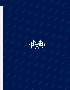